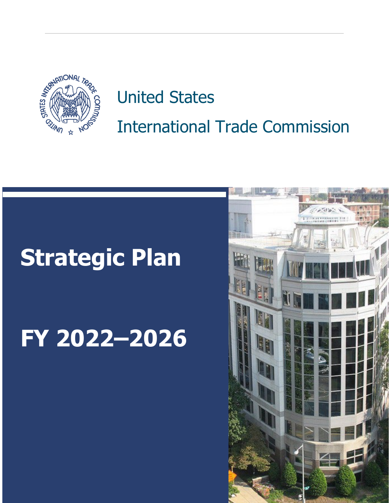

## United States International Trade Commission

# **Strategic Plan**

# **FY 2022–2026**

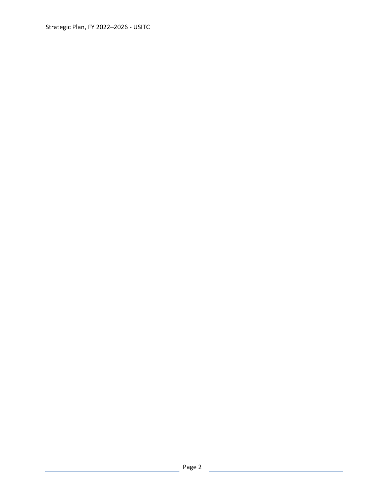Strategic Plan, FY 2022–2026 - USITC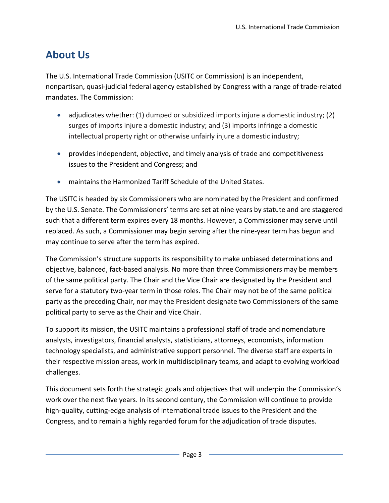## **About Us**

The U.S. International Trade Commission (USITC or Commission) is an independent, nonpartisan, quasi-judicial federal agency established by Congress with a range of trade-related mandates. The Commission:

- adjudicates whether: (1) dumped or subsidized imports injure a domestic industry; (2) surges of imports injure a domestic industry; and (3) imports infringe a domestic intellectual property right or otherwise unfairly injure a domestic industry;
- provides independent, objective, and timely analysis of trade and competitiveness issues to the President and Congress; and
- maintains the Harmonized Tariff Schedule of the United States.

The USITC is headed by six Commissioners who are nominated by the President and confirmed by the U.S. Senate. The Commissioners' terms are set at nine years by statute and are staggered such that a different term expires every 18 months. However, a Commissioner may serve until replaced. As such, a Commissioner may begin serving after the nine-year term has begun and may continue to serve after the term has expired.

The Commission's structure supports its responsibility to make unbiased determinations and objective, balanced, fact-based analysis. No more than three Commissioners may be members of the same political party. The Chair and the Vice Chair are designated by the President and serve for a statutory two-year term in those roles. The Chair may not be of the same political party as the preceding Chair, nor may the President designate two Commissioners of the same political party to serve as the Chair and Vice Chair.

To support its mission, the USITC maintains a professional staff of trade and nomenclature analysts, investigators, financial analysts, statisticians, attorneys, economists, information technology specialists, and administrative support personnel. The diverse staff are experts in their respective mission areas, work in multidisciplinary teams, and adapt to evolving workload challenges.

This document sets forth the strategic goals and objectives that will underpin the Commission's work over the next five years. In its second century, the Commission will continue to provide high-quality, cutting-edge analysis of international trade issues to the President and the Congress, and to remain a highly regarded forum for the adjudication of trade disputes.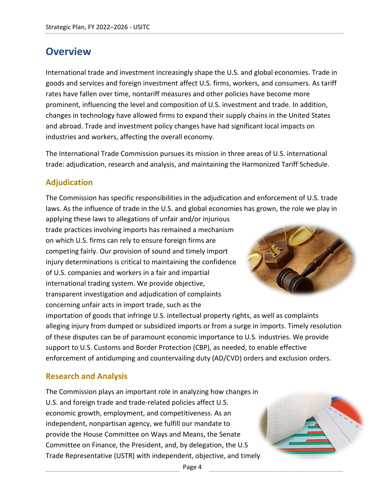### **Overview**

International trade and investment increasingly shape the U.S. and global economies. Trade in goods and services and foreign investment affect U.S. firms, workers, and consumers. As tariff rates have fallen over time, nontariff measures and other policies have become more prominent, influencing the level and composition of U.S. investment and trade. In addition, changes in technology have allowed firms to expand their supply chains in the United States and abroad. Trade and investment policy changes have had significant local impacts on industries and workers, affecting the overall economy.

The International Trade Commission pursues its mission in three areas of U.S. international trade: adjudication, research and analysis, and maintaining the Harmonized Tariff Schedule.

#### **Adjudication**

The Commission has specific responsibilities in the adjudication and enforcement of U.S. trade laws. As the influence of trade in the U.S. and global economies has grown, the role we play in

applying these laws to allegations of unfair and/or injurious trade practices involving imports has remained a mechanism on which U.S. firms can rely to ensure foreign firms are competing fairly. Our provision of sound and timely import injury determinations is critical to maintaining the confidence of U.S. companies and workers in a fair and impartial international trading system. We provide objective, transparent investigation and adjudication of complaints concerning unfair acts in import trade, such as the



importation of goods that infringe U.S. intellectual property rights, as well as complaints alleging injury from dumped or subsidized imports or from a surge in imports. Timely resolution of these disputes can be of paramount economic importance to U.S. industries. We provide support to U.S. Customs and Border Protection (CBP), as needed, to enable effective enforcement of antidumping and countervailing duty (AD/CVD) orders and exclusion orders.

#### **Research and Analysis**

The Commission plays an important role in analyzing how changes in U.S. and foreign trade and trade-related policies affect U.S. economic growth, employment, and competitiveness. As an independent, nonpartisan agency, we fulfill our mandate to provide the House Committee on Ways and Means, the Senate Committee on Finance, the President, and, by delegation, the U.S Trade Representative (USTR) with independent, objective, and timely

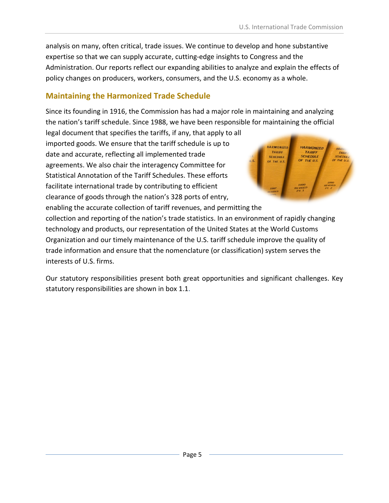analysis on many, often critical, trade issues. We continue to develop and hone substantive expertise so that we can supply accurate, cutting-edge insights to Congress and the Administration. Our reports reflect our expanding abilities to analyze and explain the effects of policy changes on producers, workers, consumers, and the U.S. economy as a whole.

#### **Maintaining the Harmonized Trade Schedule**

Since its founding in 1916, the Commission has had a major role in maintaining and analyzing the nation's tariff schedule. Since 1988, we have been responsible for maintaining the official

legal document that specifies the tariffs, if any, that apply to all imported goods. We ensure that the tariff schedule is up to date and accurate, reflecting all implemented trade agreements. We also chair the interagency Committee for Statistical Annotation of the Tariff Schedules. These efforts facilitate international trade by contributing to efficient clearance of goods through the nation's 328 ports of entry,



collection and reporting of the nation's trade statistics. In an environment of rapidly changing technology and products, our representation of the United States at the World Customs Organization and our timely maintenance of the U.S. tariff schedule improve the quality of trade information and ensure that the nomenclature (or classification) system serves the interests of U.S. firms.

Our statutory responsibilities present both great opportunities and significant challenges. Key statutory responsibilities are shown in box 1.1.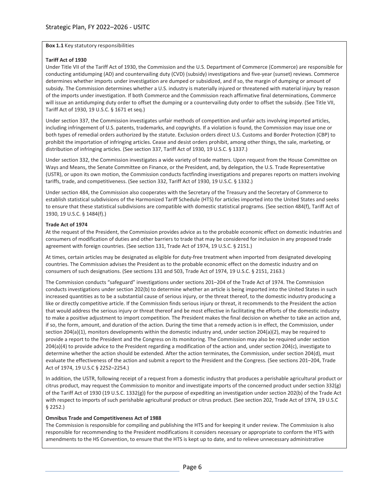#### **Box 1.1** Key statutory responsibilities

#### **Tariff Act of 1930**

Under Title VII of the Tariff Act of 1930, the Commission and the U.S. Department of Commerce (Commerce) are responsible for conducting antidumping (AD) and countervailing duty (CVD) (subsidy) investigations and five-year (sunset) reviews. Commerce determines whether imports under investigation are dumped or subsidized, and if so, the margin of dumping or amount of subsidy. The Commission determines whether a U.S. industry is materially injured or threatened with material injury by reason of the imports under investigation. If both Commerce and the Commission reach affirmative final determinations, Commerce will issue an antidumping duty order to offset the dumping or a countervailing duty order to offset the subsidy. (See Title VII, Tariff Act of 1930, 19 U.S.C. § 1671 et seq.)

Under section 337, the Commission investigates unfair methods of competition and unfair acts involving imported articles, including infringement of U.S. patents, trademarks, and copyrights. If a violation is found, the Commission may issue one or both types of remedial orders authorized by the statute. Exclusion orders direct U.S. Customs and Border Protection (CBP) to prohibit the importation of infringing articles. Cease and desist orders prohibit, among other things, the sale, marketing, or distribution of infringing articles. (See section 337, Tariff Act of 1930, 19 U.S.C. § 1337.)

Under section 332, the Commission investigates a wide variety of trade matters. Upon request from the House Committee on Ways and Means, the Senate Committee on Finance, or the President, and, by delegation, the U.S. Trade Representative (USTR), or upon its own motion, the Commission conducts factfinding investigations and prepares reports on matters involving tariffs, trade, and competitiveness. (See section 332, Tariff Act of 1930, 19 U.S.C. § 1332.)

Under section 484, the Commission also cooperates with the Secretary of the Treasury and the Secretary of Commerce to establish statistical subdivisions of the Harmonized Tariff Schedule (HTS) for articles imported into the United States and seeks to ensure that these statistical subdivisions are compatible with domestic statistical programs. (See section 484(f), Tariff Act of 1930, 19 U.S.C. § 1484(f).)

#### **Trade Act of 1974**

At the request of the President, the Commission provides advice as to the probable economic effect on domestic industries and consumers of modification of duties and other barriers to trade that may be considered for inclusion in any proposed trade agreement with foreign countries. (See section 131, Trade Act of 1974, 19 U.S.C. § 2151.)

At times, certain articles may be designated as eligible for duty-free treatment when imported from designated developing countries. The Commission advises the President as to the probable economic effect on the domestic industry and on consumers of such designations. (See sections 131 and 503, Trade Act of 1974, 19 U.S.C. § 2151, 2163.)

The Commission conducts "safeguard" investigations under sections 201–204 of the Trade Act of 1974. The Commission conducts investigations under section 202(b) to determine whether an article is being imported into the United States in such increased quantities as to be a substantial cause of serious injury, or the threat thereof, to the domestic industry producing a like or directly competitive article. If the Commission finds serious injury or threat, it recommends to the President the action that would address the serious injury or threat thereof and be most effective in facilitating the efforts of the domestic industry to make a positive adjustment to import competition. The President makes the final decision on whether to take an action and, if so, the form, amount, and duration of the action. During the time that a remedy action is in effect, the Commission, under section 204(a)(1), monitors developments within the domestic industry and, under section 204(a)(2), may be required to provide a report to the President and the Congress on its monitoring. The Commission may also be required under section 204(a)(4) to provide advice to the President regarding a modification of the action and, under section 204(c), investigate to determine whether the action should be extended. After the action terminates, the Commission, under section 204(d), must evaluate the effectiveness of the action and submit a report to the President and the Congress. (See sections 201–204, Trade Act of 1974, 19 U.S.C § 2252–2254.)

In addition, the USTR, following receipt of a request from a domestic industry that produces a perishable agricultural product or citrus product, may request the Commission to monitor and investigate imports of the concerned product under section 332(g) of the Tariff Act of 1930 (19 U.S.C. 1332(g)) for the purpose of expediting an investigation under section 202(b) of the Trade Act with respect to imports of such perishable agricultural product or citrus product. (See section 202, Trade Act of 1974, 19 U.S.C § 2252.)

#### **Omnibus Trade and Competitiveness Act of 1988**

The Commission is responsible for compiling and publishing the HTS and for keeping it under review. The Commission is also responsible for recommending to the President modifications it considers necessary or appropriate to conform the HTS with amendments to the HS Convention, to ensure that the HTS is kept up to date, and to relieve unnecessary administrative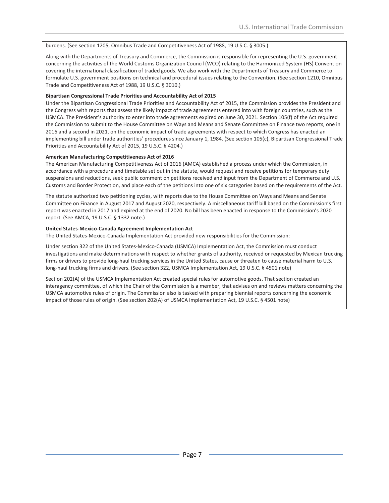#### burdens. (See section 1205, Omnibus Trade and Competitiveness Act of 1988, 19 U.S.C. § 3005.)

Along with the Departments of Treasury and Commerce, the Commission is responsible for representing the U.S. government concerning the activities of the World Customs Organization Council (WCO) relating to the Harmonized System (HS) Convention covering the international classification of traded goods. We also work with the Departments of Treasury and Commerce to formulate U.S. government positions on technical and procedural issues relating to the Convention. (See section 1210, Omnibus Trade and Competitiveness Act of 1988, 19 U.S.C. § 3010.)

#### **Bipartisan Congressional Trade Priorities and Accountability Act of 2015**

Under the Bipartisan Congressional Trade Priorities and Accountability Act of 2015, the Commission provides the President and the Congress with reports that assess the likely impact of trade agreements entered into with foreign countries, such as the USMCA. The President's authority to enter into trade agreements expired on June 30, 2021. Section 105(f) of the Act required the Commission to submit to the House Committee on Ways and Means and Senate Committee on Finance two reports, one in 2016 and a second in 2021, on the economic impact of trade agreements with respect to which Congress has enacted an implementing bill under trade authorities' procedures since January 1, 1984. (See section 105(c), Bipartisan Congressional Trade Priorities and Accountability Act of 2015, 19 U.S.C. § 4204.)

#### **American Manufacturing Competitiveness Act of 2016**

The American Manufacturing Competitiveness Act of 2016 (AMCA) established a process under which the Commission, in accordance with a procedure and timetable set out in the statute, would request and receive petitions for temporary duty suspensions and reductions, seek public comment on petitions received and input from the Department of Commerce and U.S. Customs and Border Protection, and place each of the petitions into one of six categories based on the requirements of the Act.

The statute authorized two petitioning cycles, with reports due to the House Committee on Ways and Means and Senate Committee on Finance in August 2017 and August 2020, respectively. A miscellaneous tariff bill based on the Commission's first report was enacted in 2017 and expired at the end of 2020. No bill has been enacted in response to the Commission's 2020 report. (See AMCA, 19 U.S.C. § 1332 note.)

#### **United States-Mexico-Canada Agreement Implementation Act**

The United States-Mexico-Canada Implementation Act provided new responsibilities for the Commission:

Under section 322 of the United States-Mexico-Canada (USMCA) Implementation Act, the Commission must conduct investigations and make determinations with respect to whether grants of authority, received or requested by Mexican trucking firms or drivers to provide long-haul trucking services in the United States, cause or threaten to cause material harm to U.S. long-haul trucking firms and drivers. (See section 322, USMCA Implementation Act, 19 U.S.C. § 4501 note)

Section 202(A) of the USMCA Implementation Act created special rules for automotive goods. That section created an interagency committee, of which the Chair of the Commission is a member, that advises on and reviews matters concerning the USMCA automotive rules of origin. The Commission also is tasked with preparing biennial reports concerning the economic impact of those rules of origin. (See section 202(A) of USMCA Implementation Act, 19 U.S.C. § 4501 note)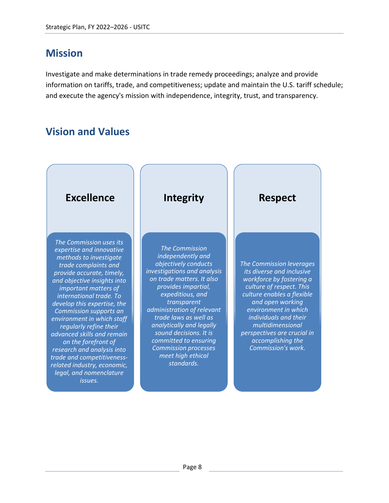## **Mission**

Investigate and make determinations in trade remedy proceedings; analyze and provide information on tariffs, trade, and competitiveness; update and maintain the U.S. tariff schedule; and execute the agency's mission with independence, integrity, trust, and transparency.

## **Vision and Values**

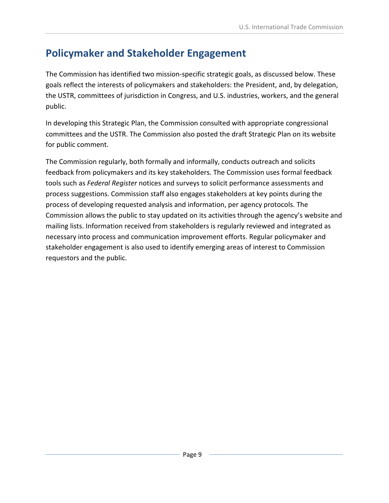## **Policymaker and Stakeholder Engagement**

The Commission has identified two mission-specific strategic goals, as discussed below. These goals reflect the interests of policymakers and stakeholders: the President, and, by delegation, the USTR, committees of jurisdiction in Congress, and U.S. industries, workers, and the general public.

In developing this Strategic Plan, the Commission consulted with appropriate congressional committees and the USTR. The Commission also posted the draft Strategic Plan on its website for public comment.

The Commission regularly, both formally and informally, conducts outreach and solicits feedback from policymakers and its key stakeholders. The Commission uses formal feedback tools such as *Federal Register* notices and surveys to solicit performance assessments and process suggestions. Commission staff also engages stakeholders at key points during the process of developing requested analysis and information, per agency protocols. The Commission allows the public to stay updated on its activities through the agency's website and mailing lists. Information received from stakeholders is regularly reviewed and integrated as necessary into process and communication improvement efforts. Regular policymaker and stakeholder engagement is also used to identify emerging areas of interest to Commission requestors and the public.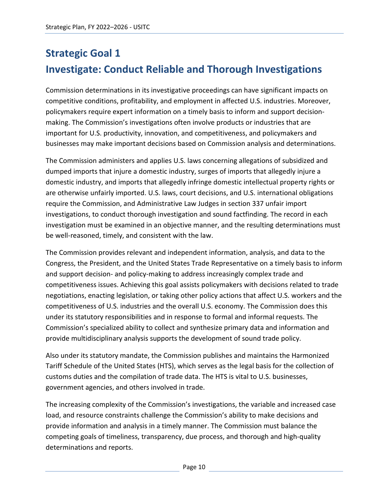## **Strategic Goal 1 Investigate: Conduct Reliable and Thorough Investigations**

Commission determinations in its investigative proceedings can have significant impacts on competitive conditions, profitability, and employment in affected U.S. industries. Moreover, policymakers require expert information on a timely basis to inform and support decisionmaking. The Commission's investigations often involve products or industries that are important for U.S. productivity, innovation, and competitiveness, and policymakers and businesses may make important decisions based on Commission analysis and determinations.

The Commission administers and applies U.S. laws concerning allegations of subsidized and dumped imports that injure a domestic industry, surges of imports that allegedly injure a domestic industry, and imports that allegedly infringe domestic intellectual property rights or are otherwise unfairly imported. U.S. laws, court decisions, and U.S. international obligations require the Commission, and Administrative Law Judges in section 337 unfair import investigations, to conduct thorough investigation and sound factfinding. The record in each investigation must be examined in an objective manner, and the resulting determinations must be well-reasoned, timely, and consistent with the law.

The Commission provides relevant and independent information, analysis, and data to the Congress, the President, and the United States Trade Representative on a timely basis to inform and support decision- and policy-making to address increasingly complex trade and competitiveness issues. Achieving this goal assists policymakers with decisions related to trade negotiations, enacting legislation, or taking other policy actions that affect U.S. workers and the competitiveness of U.S. industries and the overall U.S. economy. The Commission does this under its statutory responsibilities and in response to formal and informal requests. The Commission's specialized ability to collect and synthesize primary data and information and provide multidisciplinary analysis supports the development of sound trade policy.

Also under its statutory mandate, the Commission publishes and maintains the Harmonized Tariff Schedule of the United States (HTS), which serves as the legal basis for the collection of customs duties and the compilation of trade data. The HTS is vital to U.S. businesses, government agencies, and others involved in trade.

The increasing complexity of the Commission's investigations, the variable and increased case load, and resource constraints challenge the Commission's ability to make decisions and provide information and analysis in a timely manner. The Commission must balance the competing goals of timeliness, transparency, due process, and thorough and high-quality determinations and reports.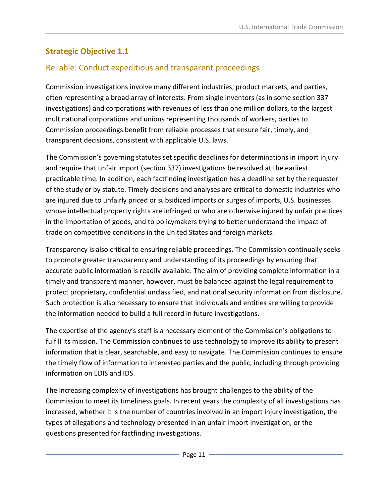#### **Strategic Objective 1.1**

#### Reliable: Conduct expeditious and transparent proceedings

Commission investigations involve many different industries, product markets, and parties, often representing a broad array of interests. From single inventors (as in some section 337 investigations) and corporations with revenues of less than one million dollars, to the largest multinational corporations and unions representing thousands of workers, parties to Commission proceedings benefit from reliable processes that ensure fair, timely, and transparent decisions, consistent with applicable U.S. laws.

The Commission's governing statutes set specific deadlines for determinations in import injury and require that unfair import (section 337) investigations be resolved at the earliest practicable time. In addition, each factfinding investigation has a deadline set by the requester of the study or by statute. Timely decisions and analyses are critical to domestic industries who are injured due to unfairly priced or subsidized imports or surges of imports, U.S. businesses whose intellectual property rights are infringed or who are otherwise injured by unfair practices in the importation of goods, and to policymakers trying to better understand the impact of trade on competitive conditions in the United States and foreign markets.

Transparency is also critical to ensuring reliable proceedings. The Commission continually seeks to promote greater transparency and understanding of its proceedings by ensuring that accurate public information is readily available. The aim of providing complete information in a timely and transparent manner, however, must be balanced against the legal requirement to protect proprietary, confidential unclassified, and national security information from disclosure. Such protection is also necessary to ensure that individuals and entities are willing to provide the information needed to build a full record in future investigations.

The expertise of the agency's staff is a necessary element of the Commission's obligations to fulfill its mission. The Commission continues to use technology to improve its ability to present information that is clear, searchable, and easy to navigate. The Commission continues to ensure the timely flow of information to interested parties and the public, including through providing information on EDIS and IDS.

The increasing complexity of investigations has brought challenges to the ability of the Commission to meet its timeliness goals. In recent years the complexity of all investigations has increased, whether it is the number of countries involved in an import injury investigation, the types of allegations and technology presented in an unfair import investigation, or the questions presented for factfinding investigations.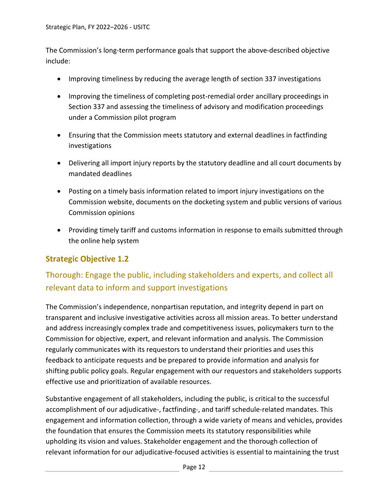The Commission's long-term performance goals that support the above-described objective include:

- Improving timeliness by reducing the average length of section 337 investigations
- Improving the timeliness of completing post-remedial order ancillary proceedings in Section 337 and assessing the timeliness of advisory and modification proceedings under a Commission pilot program
- Ensuring that the Commission meets statutory and external deadlines in factfinding investigations
- Delivering all import injury reports by the statutory deadline and all court documents by mandated deadlines
- Posting on a timely basis information related to import injury investigations on the Commission website, documents on the docketing system and public versions of various Commission opinions
- Providing timely tariff and customs information in response to emails submitted through the online help system

#### **Strategic Objective 1.2**

#### Thorough: Engage the public, including stakeholders and experts, and collect all relevant data to inform and support investigations

The Commission's independence, nonpartisan reputation, and integrity depend in part on transparent and inclusive investigative activities across all mission areas. To better understand and address increasingly complex trade and competitiveness issues, policymakers turn to the Commission for objective, expert, and relevant information and analysis. The Commission regularly communicates with its requestors to understand their priorities and uses this feedback to anticipate requests and be prepared to provide information and analysis for shifting public policy goals. Regular engagement with our requestors and stakeholders supports effective use and prioritization of available resources.

Substantive engagement of all stakeholders, including the public, is critical to the successful accomplishment of our adjudicative-, factfinding-, and tariff schedule-related mandates. This engagement and information collection, through a wide variety of means and vehicles, provides the foundation that ensures the Commission meets its statutory responsibilities while upholding its vision and values. Stakeholder engagement and the thorough collection of relevant information for our adjudicative-focused activities is essential to maintaining the trust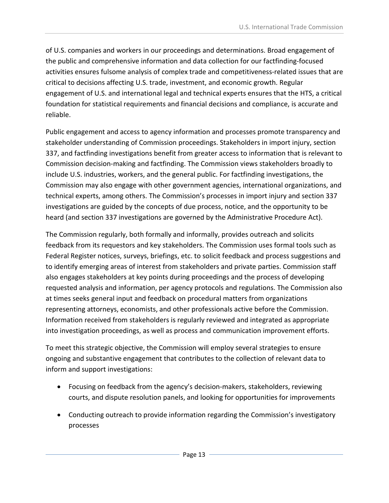of U.S. companies and workers in our proceedings and determinations. Broad engagement of the public and comprehensive information and data collection for our factfinding-focused activities ensures fulsome analysis of complex trade and competitiveness-related issues that are critical to decisions affecting U.S. trade, investment, and economic growth. Regular engagement of U.S. and international legal and technical experts ensures that the HTS, a critical foundation for statistical requirements and financial decisions and compliance, is accurate and reliable.

Public engagement and access to agency information and processes promote transparency and stakeholder understanding of Commission proceedings. Stakeholders in import injury, section 337, and factfinding investigations benefit from greater access to information that is relevant to Commission decision-making and factfinding. The Commission views stakeholders broadly to include U.S. industries, workers, and the general public. For factfinding investigations, the Commission may also engage with other government agencies, international organizations, and technical experts, among others. The Commission's processes in import injury and section 337 investigations are guided by the concepts of due process, notice, and the opportunity to be heard (and section 337 investigations are governed by the Administrative Procedure Act).

The Commission regularly, both formally and informally, provides outreach and solicits feedback from its requestors and key stakeholders. The Commission uses formal tools such as Federal Register notices, surveys, briefings, etc. to solicit feedback and process suggestions and to identify emerging areas of interest from stakeholders and private parties. Commission staff also engages stakeholders at key points during proceedings and the process of developing requested analysis and information, per agency protocols and regulations. The Commission also at times seeks general input and feedback on procedural matters from organizations representing attorneys, economists, and other professionals active before the Commission. Information received from stakeholders is regularly reviewed and integrated as appropriate into investigation proceedings, as well as process and communication improvement efforts.

To meet this strategic objective, the Commission will employ several strategies to ensure ongoing and substantive engagement that contributes to the collection of relevant data to inform and support investigations:

- Focusing on feedback from the agency's decision-makers, stakeholders, reviewing courts, and dispute resolution panels, and looking for opportunities for improvements
- Conducting outreach to provide information regarding the Commission's investigatory processes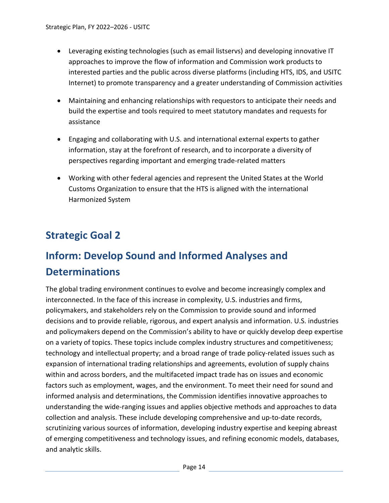- Leveraging existing technologies (such as email listservs) and developing innovative IT approaches to improve the flow of information and Commission work products to interested parties and the public across diverse platforms (including HTS, IDS, and USITC Internet) to promote transparency and a greater understanding of Commission activities
- Maintaining and enhancing relationships with requestors to anticipate their needs and build the expertise and tools required to meet statutory mandates and requests for assistance
- Engaging and collaborating with U.S. and international external experts to gather information, stay at the forefront of research, and to incorporate a diversity of perspectives regarding important and emerging trade-related matters
- Working with other federal agencies and represent the United States at the World Customs Organization to ensure that the HTS is aligned with the international Harmonized System

## **Strategic Goal 2**

## **Inform: Develop Sound and Informed Analyses and Determinations**

The global trading environment continues to evolve and become increasingly complex and interconnected. In the face of this increase in complexity, U.S. industries and firms, policymakers, and stakeholders rely on the Commission to provide sound and informed decisions and to provide reliable, rigorous, and expert analysis and information. U.S. industries and policymakers depend on the Commission's ability to have or quickly develop deep expertise on a variety of topics. These topics include complex industry structures and competitiveness; technology and intellectual property; and a broad range of trade policy-related issues such as expansion of international trading relationships and agreements, evolution of supply chains within and across borders, and the multifaceted impact trade has on issues and economic factors such as employment, wages, and the environment. To meet their need for sound and informed analysis and determinations, the Commission identifies innovative approaches to understanding the wide-ranging issues and applies objective methods and approaches to data collection and analysis. These include developing comprehensive and up-to-date records, scrutinizing various sources of information, developing industry expertise and keeping abreast of emerging competitiveness and technology issues, and refining economic models, databases, and analytic skills.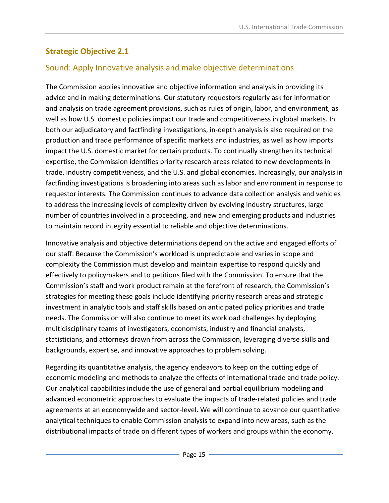#### **Strategic Objective 2.1**

#### Sound: Apply Innovative analysis and make objective determinations

The Commission applies innovative and objective information and analysis in providing its advice and in making determinations. Our statutory requestors regularly ask for information and analysis on trade agreement provisions, such as rules of origin, labor, and environment, as well as how U.S. domestic policies impact our trade and competitiveness in global markets. In both our adjudicatory and factfinding investigations, in-depth analysis is also required on the production and trade performance of specific markets and industries, as well as how imports impact the U.S. domestic market for certain products. To continually strengthen its technical expertise, the Commission identifies priority research areas related to new developments in trade, industry competitiveness, and the U.S. and global economies. Increasingly, our analysis in factfinding investigations is broadening into areas such as labor and environment in response to requestor interests. The Commission continues to advance data collection analysis and vehicles to address the increasing levels of complexity driven by evolving industry structures, large number of countries involved in a proceeding, and new and emerging products and industries to maintain record integrity essential to reliable and objective determinations.

Innovative analysis and objective determinations depend on the active and engaged efforts of our staff. Because the Commission's workload is unpredictable and varies in scope and complexity the Commission must develop and maintain expertise to respond quickly and effectively to policymakers and to petitions filed with the Commission. To ensure that the Commission's staff and work product remain at the forefront of research, the Commission's strategies for meeting these goals include identifying priority research areas and strategic investment in analytic tools and staff skills based on anticipated policy priorities and trade needs. The Commission will also continue to meet its workload challenges by deploying multidisciplinary teams of investigators, economists, industry and financial analysts, statisticians, and attorneys drawn from across the Commission, leveraging diverse skills and backgrounds, expertise, and innovative approaches to problem solving.

Regarding its quantitative analysis, the agency endeavors to keep on the cutting edge of economic modeling and methods to analyze the effects of international trade and trade policy. Our analytical capabilities include the use of general and partial equilibrium modeling and advanced econometric approaches to evaluate the impacts of trade-related policies and trade agreements at an economywide and sector-level. We will continue to advance our quantitative analytical techniques to enable Commission analysis to expand into new areas, such as the distributional impacts of trade on different types of workers and groups within the economy.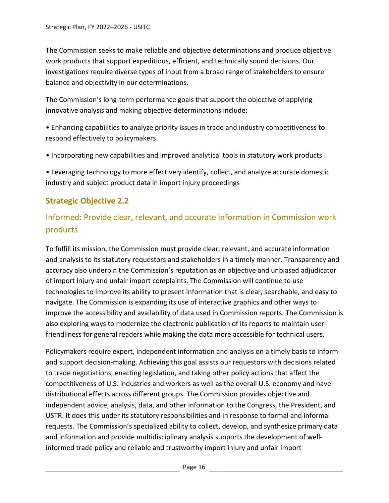The Commission seeks to make reliable and objective determinations and produce objective work products that support expeditious, efficient, and technically sound decisions. Our investigations require diverse types of input from a broad range of stakeholders to ensure balance and objectivity in our determinations.

The Commission's long-term performance goals that support the objective of applying innovative analysis and making objective determinations include:

• Enhancing capabilities to analyze priority issues in trade and industry competitiveness to respond effectively to policymakers

• Incorporating new capabilities and improved analytical tools in statutory work products

• Leveraging technology to more effectively identify, collect, and analyze accurate domestic industry and subject product data in import injury proceedings

#### **Strategic Objective 2.2**

#### Informed: Provide clear, relevant, and accurate information in Commission work products

To fulfill its mission, the Commission must provide clear, relevant, and accurate information and analysis to its statutory requestors and stakeholders in a timely manner. Transparency and accuracy also underpin the Commission's reputation as an objective and unbiased adjudicator of import injury and unfair import complaints. The Commission will continue to use technologies to improve its ability to present information that is clear, searchable, and easy to navigate. The Commission is expanding its use of interactive graphics and other ways to improve the accessibility and availability of data used in Commission reports. The Commission is also exploring ways to modernize the electronic publication of its reports to maintain userfriendliness for general readers while making the data more accessible for technical users.

Policymakers require expert, independent information and analysis on a timely basis to inform and support decision-making. Achieving this goal assists our requestors with decisions related to trade negotiations, enacting legislation, and taking other policy actions that affect the competitiveness of U.S. industries and workers as well as the overall U.S. economy and have distributional effects across different groups. The Commission provides objective and independent advice, analysis, data, and other information to the Congress, the President, and USTR. It does this under its statutory responsibilities and in response to formal and informal requests. The Commission's specialized ability to collect, develop, and synthesize primary data and information and provide multidisciplinary analysis supports the development of wellinformed trade policy and reliable and trustworthy import injury and unfair import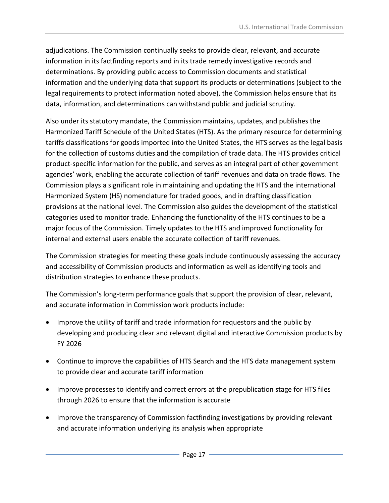adjudications. The Commission continually seeks to provide clear, relevant, and accurate information in its factfinding reports and in its trade remedy investigative records and determinations. By providing public access to Commission documents and statistical information and the underlying data that support its products or determinations (subject to the legal requirements to protect information noted above), the Commission helps ensure that its data, information, and determinations can withstand public and judicial scrutiny.

Also under its statutory mandate, the Commission maintains, updates, and publishes the Harmonized Tariff Schedule of the United States (HTS). As the primary resource for determining tariffs classifications for goods imported into the United States, the HTS serves as the legal basis for the collection of customs duties and the compilation of trade data. The HTS provides critical product-specific information for the public, and serves as an integral part of other government agencies' work, enabling the accurate collection of tariff revenues and data on trade flows. The Commission plays a significant role in maintaining and updating the HTS and the international Harmonized System (HS) nomenclature for traded goods, and in drafting classification provisions at the national level. The Commission also guides the development of the statistical categories used to monitor trade. Enhancing the functionality of the HTS continues to be a major focus of the Commission. Timely updates to the HTS and improved functionality for internal and external users enable the accurate collection of tariff revenues.

The Commission strategies for meeting these goals include continuously assessing the accuracy and accessibility of Commission products and information as well as identifying tools and distribution strategies to enhance these products.

The Commission's long-term performance goals that support the provision of clear, relevant, and accurate information in Commission work products include:

- Improve the utility of tariff and trade information for requestors and the public by developing and producing clear and relevant digital and interactive Commission products by FY 2026
- Continue to improve the capabilities of HTS Search and the HTS data management system to provide clear and accurate tariff information
- Improve processes to identify and correct errors at the prepublication stage for HTS files through 2026 to ensure that the information is accurate
- Improve the transparency of Commission factfinding investigations by providing relevant and accurate information underlying its analysis when appropriate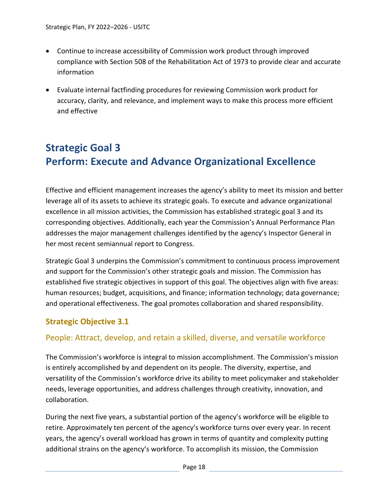- Continue to increase accessibility of Commission work product through improved compliance with Section 508 of the Rehabilitation Act of 1973 to provide clear and accurate information
- Evaluate internal factfinding procedures for reviewing Commission work product for accuracy, clarity, and relevance, and implement ways to make this process more efficient and effective

## **Strategic Goal 3 Perform: Execute and Advance Organizational Excellence**

Effective and efficient management increases the agency's ability to meet its mission and better leverage all of its assets to achieve its strategic goals. To execute and advance organizational excellence in all mission activities, the Commission has established strategic goal 3 and its corresponding objectives. Additionally, each year the Commission's Annual Performance Plan addresses the major management challenges identified by the agency's Inspector General in her most recent semiannual report to Congress.

Strategic Goal 3 underpins the Commission's commitment to continuous process improvement and support for the Commission's other strategic goals and mission. The Commission has established five strategic objectives in support of this goal. The objectives align with five areas: human resources; budget, acquisitions, and finance; information technology; data governance; and operational effectiveness. The goal promotes collaboration and shared responsibility.

#### **Strategic Objective 3.1**

#### People: Attract, develop, and retain a skilled, diverse, and versatile workforce

The Commission's workforce is integral to mission accomplishment. The Commission's mission is entirely accomplished by and dependent on its people. The diversity, expertise, and versatility of the Commission's workforce drive its ability to meet policymaker and stakeholder needs, leverage opportunities, and address challenges through creativity, innovation, and collaboration.

During the next five years, a substantial portion of the agency's workforce will be eligible to retire. Approximately ten percent of the agency's workforce turns over every year. In recent years, the agency's overall workload has grown in terms of quantity and complexity putting additional strains on the agency's workforce. To accomplish its mission, the Commission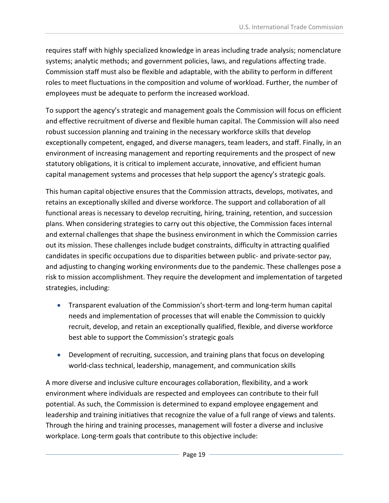requires staff with highly specialized knowledge in areas including trade analysis; nomenclature systems; analytic methods; and government policies, laws, and regulations affecting trade. Commission staff must also be flexible and adaptable, with the ability to perform in different roles to meet fluctuations in the composition and volume of workload. Further, the number of employees must be adequate to perform the increased workload.

To support the agency's strategic and management goals the Commission will focus on efficient and effective recruitment of diverse and flexible human capital. The Commission will also need robust succession planning and training in the necessary workforce skills that develop exceptionally competent, engaged, and diverse managers, team leaders, and staff. Finally, in an environment of increasing management and reporting requirements and the prospect of new statutory obligations, it is critical to implement accurate, innovative, and efficient human capital management systems and processes that help support the agency's strategic goals.

This human capital objective ensures that the Commission attracts, develops, motivates, and retains an exceptionally skilled and diverse workforce. The support and collaboration of all functional areas is necessary to develop recruiting, hiring, training, retention, and succession plans. When considering strategies to carry out this objective, the Commission faces internal and external challenges that shape the business environment in which the Commission carries out its mission. These challenges include budget constraints, difficulty in attracting qualified candidates in specific occupations due to disparities between public- and private-sector pay, and adjusting to changing working environments due to the pandemic. These challenges pose a risk to mission accomplishment. They require the development and implementation of targeted strategies, including:

- Transparent evaluation of the Commission's short-term and long-term human capital needs and implementation of processes that will enable the Commission to quickly recruit, develop, and retain an exceptionally qualified, flexible, and diverse workforce best able to support the Commission's strategic goals
- Development of recruiting, succession, and training plans that focus on developing world-class technical, leadership, management, and communication skills

A more diverse and inclusive culture encourages collaboration, flexibility, and a work environment where individuals are respected and employees can contribute to their full potential. As such, the Commission is determined to expand employee engagement and leadership and training initiatives that recognize the value of a full range of views and talents. Through the hiring and training processes, management will foster a diverse and inclusive workplace. Long-term goals that contribute to this objective include: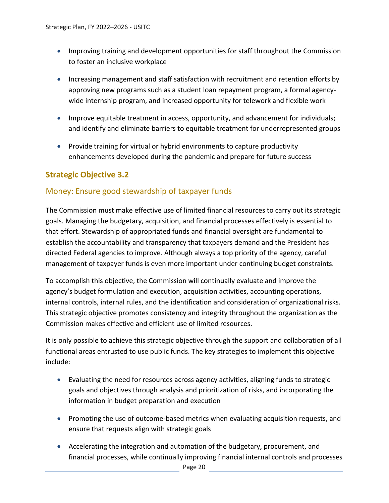- Improving training and development opportunities for staff throughout the Commission to foster an inclusive workplace
- Increasing management and staff satisfaction with recruitment and retention efforts by approving new programs such as a student loan repayment program, a formal agencywide internship program, and increased opportunity for telework and flexible work
- Improve equitable treatment in access, opportunity, and advancement for individuals; and identify and eliminate barriers to equitable treatment for underrepresented groups
- Provide training for virtual or hybrid environments to capture productivity enhancements developed during the pandemic and prepare for future success

#### **Strategic Objective 3.2**

#### Money: Ensure good stewardship of taxpayer funds

The Commission must make effective use of limited financial resources to carry out its strategic goals. Managing the budgetary, acquisition, and financial processes effectively is essential to that effort. Stewardship of appropriated funds and financial oversight are fundamental to establish the accountability and transparency that taxpayers demand and the President has directed Federal agencies to improve. Although always a top priority of the agency, careful management of taxpayer funds is even more important under continuing budget constraints.

To accomplish this objective, the Commission will continually evaluate and improve the agency's budget formulation and execution, acquisition activities, accounting operations, internal controls, internal rules, and the identification and consideration of organizational risks. This strategic objective promotes consistency and integrity throughout the organization as the Commission makes effective and efficient use of limited resources.

It is only possible to achieve this strategic objective through the support and collaboration of all functional areas entrusted to use public funds. The key strategies to implement this objective include:

- Evaluating the need for resources across agency activities, aligning funds to strategic goals and objectives through analysis and prioritization of risks, and incorporating the information in budget preparation and execution
- Promoting the use of outcome-based metrics when evaluating acquisition requests, and ensure that requests align with strategic goals
- Accelerating the integration and automation of the budgetary, procurement, and financial processes, while continually improving financial internal controls and processes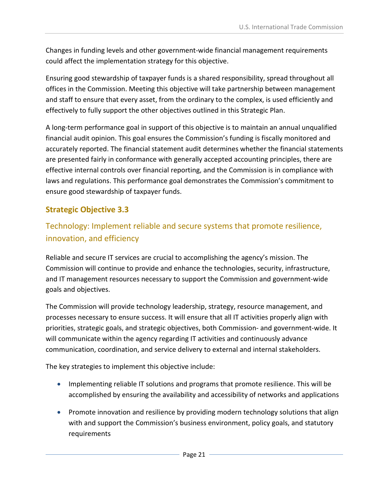Changes in funding levels and other government-wide financial management requirements could affect the implementation strategy for this objective.

Ensuring good stewardship of taxpayer funds is a shared responsibility, spread throughout all offices in the Commission. Meeting this objective will take partnership between management and staff to ensure that every asset, from the ordinary to the complex, is used efficiently and effectively to fully support the other objectives outlined in this Strategic Plan.

A long-term performance goal in support of this objective is to maintain an annual unqualified financial audit opinion. This goal ensures the Commission's funding is fiscally monitored and accurately reported. The financial statement audit determines whether the financial statements are presented fairly in conformance with generally accepted accounting principles, there are effective internal controls over financial reporting, and the Commission is in compliance with laws and regulations. This performance goal demonstrates the Commission's commitment to ensure good stewardship of taxpayer funds.

#### **Strategic Objective 3.3**

#### Technology: Implement reliable and secure systems that promote resilience, innovation, and efficiency

Reliable and secure IT services are crucial to accomplishing the agency's mission. The Commission will continue to provide and enhance the technologies, security, infrastructure, and IT management resources necessary to support the Commission and government-wide goals and objectives.

The Commission will provide technology leadership, strategy, resource management, and processes necessary to ensure success. It will ensure that all IT activities properly align with priorities, strategic goals, and strategic objectives, both Commission- and government-wide. It will communicate within the agency regarding IT activities and continuously advance communication, coordination, and service delivery to external and internal stakeholders.

The key strategies to implement this objective include:

- Implementing reliable IT solutions and programs that promote resilience. This will be accomplished by ensuring the availability and accessibility of networks and applications
- Promote innovation and resilience by providing modern technology solutions that align with and support the Commission's business environment, policy goals, and statutory requirements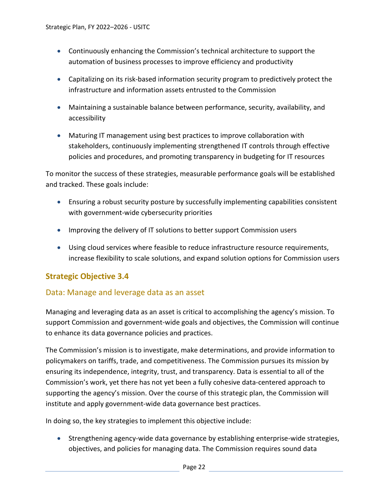- Continuously enhancing the Commission's technical architecture to support the automation of business processes to improve efficiency and productivity
- Capitalizing on its risk-based information security program to predictively protect the infrastructure and information assets entrusted to the Commission
- Maintaining a sustainable balance between performance, security, availability, and accessibility
- Maturing IT management using best practices to improve collaboration with stakeholders, continuously implementing strengthened IT controls through effective policies and procedures, and promoting transparency in budgeting for IT resources

To monitor the success of these strategies, measurable performance goals will be established and tracked. These goals include:

- Ensuring a robust security posture by successfully implementing capabilities consistent with government-wide cybersecurity priorities
- Improving the delivery of IT solutions to better support Commission users
- Using cloud services where feasible to reduce infrastructure resource requirements, increase flexibility to scale solutions, and expand solution options for Commission users

#### **Strategic Objective 3.4**

#### Data: Manage and leverage data as an asset

Managing and leveraging data as an asset is critical to accomplishing the agency's mission. To support Commission and government-wide goals and objectives, the Commission will continue to enhance its data governance policies and practices.

The Commission's mission is to investigate, make determinations, and provide information to policymakers on tariffs, trade, and competitiveness. The Commission pursues its mission by ensuring its independence, integrity, trust, and transparency. Data is essential to all of the Commission's work, yet there has not yet been a fully cohesive data-centered approach to supporting the agency's mission. Over the course of this strategic plan, the Commission will institute and apply government-wide data governance best practices.

In doing so, the key strategies to implement this objective include:

• Strengthening agency-wide data governance by establishing enterprise-wide strategies, objectives, and policies for managing data. The Commission requires sound data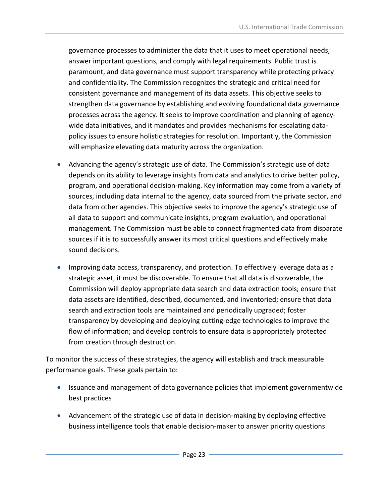governance processes to administer the data that it uses to meet operational needs, answer important questions, and comply with legal requirements. Public trust is paramount, and data governance must support transparency while protecting privacy and confidentiality. The Commission recognizes the strategic and critical need for consistent governance and management of its data assets. This objective seeks to strengthen data governance by establishing and evolving foundational data governance processes across the agency. It seeks to improve coordination and planning of agencywide data initiatives, and it mandates and provides mechanisms for escalating datapolicy issues to ensure holistic strategies for resolution. Importantly, the Commission will emphasize elevating data maturity across the organization.

- Advancing the agency's strategic use of data. The Commission's strategic use of data depends on its ability to leverage insights from data and analytics to drive better policy, program, and operational decision-making. Key information may come from a variety of sources, including data internal to the agency, data sourced from the private sector, and data from other agencies. This objective seeks to improve the agency's strategic use of all data to support and communicate insights, program evaluation, and operational management. The Commission must be able to connect fragmented data from disparate sources if it is to successfully answer its most critical questions and effectively make sound decisions.
- Improving data access, transparency, and protection. To effectively leverage data as a strategic asset, it must be discoverable. To ensure that all data is discoverable, the Commission will deploy appropriate data search and data extraction tools; ensure that data assets are identified, described, documented, and inventoried; ensure that data search and extraction tools are maintained and periodically upgraded; foster transparency by developing and deploying cutting-edge technologies to improve the flow of information; and develop controls to ensure data is appropriately protected from creation through destruction.

To monitor the success of these strategies, the agency will establish and track measurable performance goals. These goals pertain to:

- Issuance and management of data governance policies that implement governmentwide best practices
- Advancement of the strategic use of data in decision-making by deploying effective business intelligence tools that enable decision-maker to answer priority questions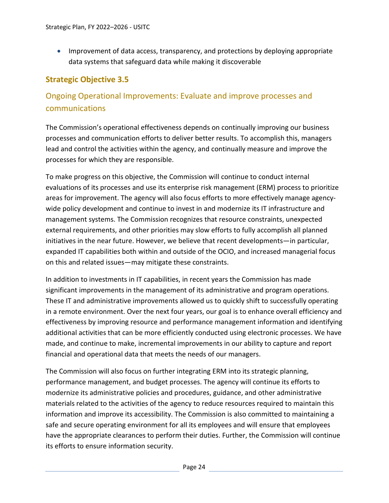• Improvement of data access, transparency, and protections by deploying appropriate data systems that safeguard data while making it discoverable

#### **Strategic Objective 3.5**

#### Ongoing Operational Improvements: Evaluate and improve processes and communications

The Commission's operational effectiveness depends on continually improving our business processes and communication efforts to deliver better results. To accomplish this, managers lead and control the activities within the agency, and continually measure and improve the processes for which they are responsible.

To make progress on this objective, the Commission will continue to conduct internal evaluations of its processes and use its enterprise risk management (ERM) process to prioritize areas for improvement. The agency will also focus efforts to more effectively manage agencywide policy development and continue to invest in and modernize its IT infrastructure and management systems. The Commission recognizes that resource constraints, unexpected external requirements, and other priorities may slow efforts to fully accomplish all planned initiatives in the near future. However, we believe that recent developments—in particular, expanded IT capabilities both within and outside of the OCIO, and increased managerial focus on this and related issues—may mitigate these constraints.

In addition to investments in IT capabilities, in recent years the Commission has made significant improvements in the management of its administrative and program operations. These IT and administrative improvements allowed us to quickly shift to successfully operating in a remote environment. Over the next four years, our goal is to enhance overall efficiency and effectiveness by improving resource and performance management information and identifying additional activities that can be more efficiently conducted using electronic processes. We have made, and continue to make, incremental improvements in our ability to capture and report financial and operational data that meets the needs of our managers.

The Commission will also focus on further integrating ERM into its strategic planning, performance management, and budget processes. The agency will continue its efforts to modernize its administrative policies and procedures, guidance, and other administrative materials related to the activities of the agency to reduce resources required to maintain this information and improve its accessibility. The Commission is also committed to maintaining a safe and secure operating environment for all its employees and will ensure that employees have the appropriate clearances to perform their duties. Further, the Commission will continue its efforts to ensure information security.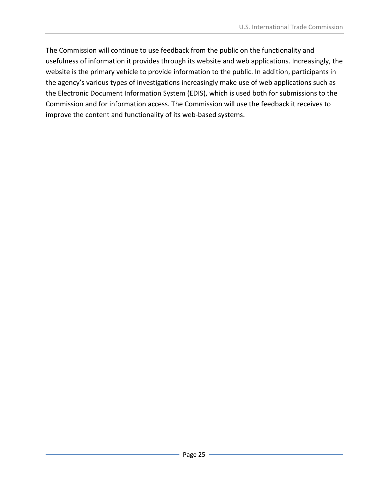The Commission will continue to use feedback from the public on the functionality and usefulness of information it provides through its website and web applications. Increasingly, the website is the primary vehicle to provide information to the public. In addition, participants in the agency's various types of investigations increasingly make use of web applications such as the Electronic Document Information System (EDIS), which is used both for submissions to the Commission and for information access. The Commission will use the feedback it receives to improve the content and functionality of its web-based systems.